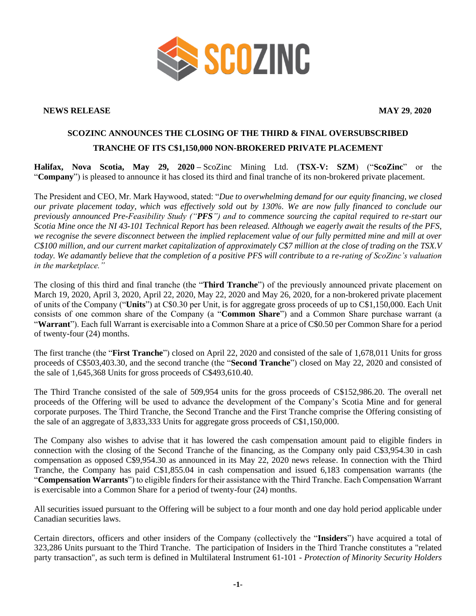

## **NEWS RELEASE MAY 29**, **2020**

## **SCOZINC ANNOUNCES THE CLOSING OF THE THIRD & FINAL OVERSUBSCRIBED TRANCHE OF ITS C\$1,150,000 NON-BROKERED PRIVATE PLACEMENT**

**Halifax, Nova Scotia, May 29, 2020 –** ScoZinc Mining Ltd. (**TSX-V: SZM**) ("**ScoZinc**" or the "**Company**") is pleased to announce it has closed its third and final tranche of its non-brokered private placement.

The President and CEO, Mr. Mark Haywood, stated: "*Due to overwhelming demand for our equity financing, we closed our private placement today, which was effectively sold out by 130%. We are now fully financed to conclude our previously announced Pre-Feasibility Study ("PFS") and to commence sourcing the capital required to re-start our Scotia Mine once the NI 43-101 Technical Report has been released. Although we eagerly await the results of the PFS, we recognise the severe disconnect between the implied replacement value of our fully permitted mine and mill at over C\$100 million, and our current market capitalization of approximately C\$7 million at the close of trading on the TSX.V today. We adamantly believe that the completion of a positive PFS will contribute to a re-rating of ScoZinc's valuation in the marketplace."*

The closing of this third and final tranche (the "**Third Tranche**") of the previously announced private placement on March 19, 2020, April 3, 2020, April 22, 2020, May 22, 2020 and May 26, 2020, for a non-brokered private placement of units of the Company ("**Units**") at C\$0.30 per Unit, is for aggregate gross proceeds of up to C\$1,150,000. Each Unit consists of one common share of the Company (a "**Common Share**") and a Common Share purchase warrant (a "**Warrant**"). Each full Warrant is exercisable into a Common Share at a price of C\$0.50 per Common Share for a period of twenty-four (24) months.

The first tranche (the "**First Tranche**") closed on April 22, 2020 and consisted of the sale of 1,678,011 Units for gross proceeds of C\$503,403.30, and the second tranche (the "**Second Tranche**") closed on May 22, 2020 and consisted of the sale of 1,645,368 Units for gross proceeds of C\$493,610.40.

The Third Tranche consisted of the sale of 509,954 units for the gross proceeds of C\$152,986.20. The overall net proceeds of the Offering will be used to advance the development of the Company's Scotia Mine and for general corporate purposes. The Third Tranche, the Second Tranche and the First Tranche comprise the Offering consisting of the sale of an aggregate of 3,833,333 Units for aggregate gross proceeds of C\$1,150,000.

The Company also wishes to advise that it has lowered the cash compensation amount paid to eligible finders in connection with the closing of the Second Tranche of the financing, as the Company only paid C\$3,954.30 in cash compensation as opposed C\$9,954.30 as announced in its May 22, 2020 news release. In connection with the Third Tranche, the Company has paid C\$1,855.04 in cash compensation and issued 6,183 compensation warrants (the "**Compensation Warrants**") to eligible finders for their assistance with the Third Tranche. Each Compensation Warrant is exercisable into a Common Share for a period of twenty-four (24) months.

All securities issued pursuant to the Offering will be subject to a four month and one day hold period applicable under Canadian securities laws.

Certain directors, officers and other insiders of the Company (collectively the "**Insiders**") have acquired a total of 323,286 Units pursuant to the Third Tranche. The participation of Insiders in the Third Tranche constitutes a "related party transaction", as such term is defined in Multilateral Instrument 61-101 - *Protection of Minority Security Holders*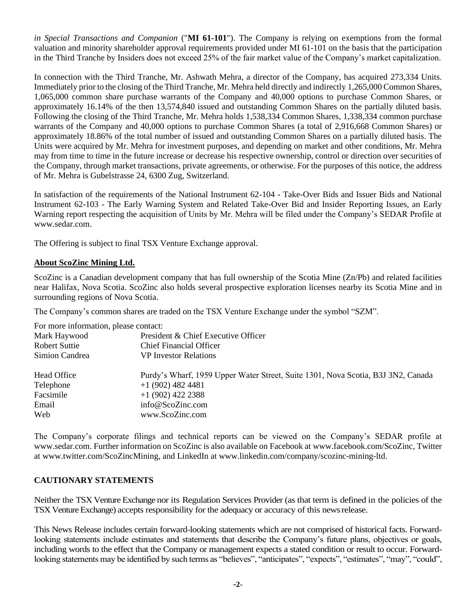*in Special Transactions and Companion* ("**MI 61-101**"). The Company is relying on exemptions from the formal valuation and minority shareholder approval requirements provided under MI 61-101 on the basis that the participation in the Third Tranche by Insiders does not exceed 25% of the fair market value of the Company's market capitalization.

In connection with the Third Tranche, Mr. Ashwath Mehra, a director of the Company, has acquired 273,334 Units. Immediately prior to the closing of the Third Tranche, Mr. Mehra held directly and indirectly 1,265,000 Common Shares, 1,065,000 common share purchase warrants of the Company and 40,000 options to purchase Common Shares, or approximately 16.14% of the then 13,574,840 issued and outstanding Common Shares on the partially diluted basis. Following the closing of the Third Tranche, Mr. Mehra holds 1,538,334 Common Shares, 1,338,334 common purchase warrants of the Company and 40,000 options to purchase Common Shares (a total of 2,916,668 Common Shares) or approximately 18.86% of the total number of issued and outstanding Common Shares on a partially diluted basis. The Units were acquired by Mr. Mehra for investment purposes, and depending on market and other conditions, Mr. Mehra may from time to time in the future increase or decrease his respective ownership, control or direction over securities of the Company, through market transactions, private agreements, or otherwise. For the purposes of this notice, the address of Mr. Mehra is Gubelstrasse 24, 6300 Zug, Switzerland.

In satisfaction of the requirements of the National Instrument 62-104 - Take-Over Bids and Issuer Bids and National Instrument 62-103 - The Early Warning System and Related Take-Over Bid and Insider Reporting Issues, an Early Warning report respecting the acquisition of Units by Mr. Mehra will be filed under the Company's SEDAR Profile at www.sedar.com.

The Offering is subject to final TSX Venture Exchange approval.

## **About ScoZinc Mining Ltd.**

ScoZinc is a Canadian development company that has full ownership of the Scotia Mine (Zn/Pb) and related facilities near Halifax, Nova Scotia. ScoZinc also holds several prospective exploration licenses nearby its Scotia Mine and in surrounding regions of Nova Scotia.

The Company's common shares are traded on the TSX Venture Exchange under the symbol "SZM".

For more information, please contact:

| I of more imormation, prease comact. |                                                                                  |
|--------------------------------------|----------------------------------------------------------------------------------|
| Mark Haywood                         | President & Chief Executive Officer                                              |
| <b>Robert Suttie</b>                 | <b>Chief Financial Officer</b>                                                   |
| Simion Candrea                       | <b>VP</b> Investor Relations                                                     |
| Head Office                          | Purdy's Wharf, 1959 Upper Water Street, Suite 1301, Nova Scotia, B3J 3N2, Canada |
| Telephone                            | $+1$ (902) 482 4481                                                              |
| Facsimile                            | $+1$ (902) 422 2388                                                              |
| Email                                | info@ScoZinc.com                                                                 |
| Web                                  | www.ScoZinc.com                                                                  |
|                                      |                                                                                  |

The Company's corporate filings and technical reports can be viewed on the Company's SEDAR profile at [www.sedar.com.](http://www.sedar.com/) Further information on ScoZinc is also available on Facebook at www.facebook.com/ScoZinc, Twitter at www.twitter.com/ScoZincMining, and LinkedIn at www.linkedin.com/company/scozinc-mining-ltd.

## **CAUTIONARY STATEMENTS**

Neither the TSX Venture Exchange nor its Regulation Services Provider (as that term is defined in the policies of the TSX Venture Exchange) accepts responsibility for the adequacy or accuracy of this newsrelease.

This News Release includes certain forward-looking statements which are not comprised of historical facts. Forwardlooking statements include estimates and statements that describe the Company's future plans, objectives or goals, including words to the effect that the Company or management expects a stated condition or result to occur. Forwardlooking statements may be identified by such terms as "believes", "anticipates", "expects", "estimates", "may", "could",